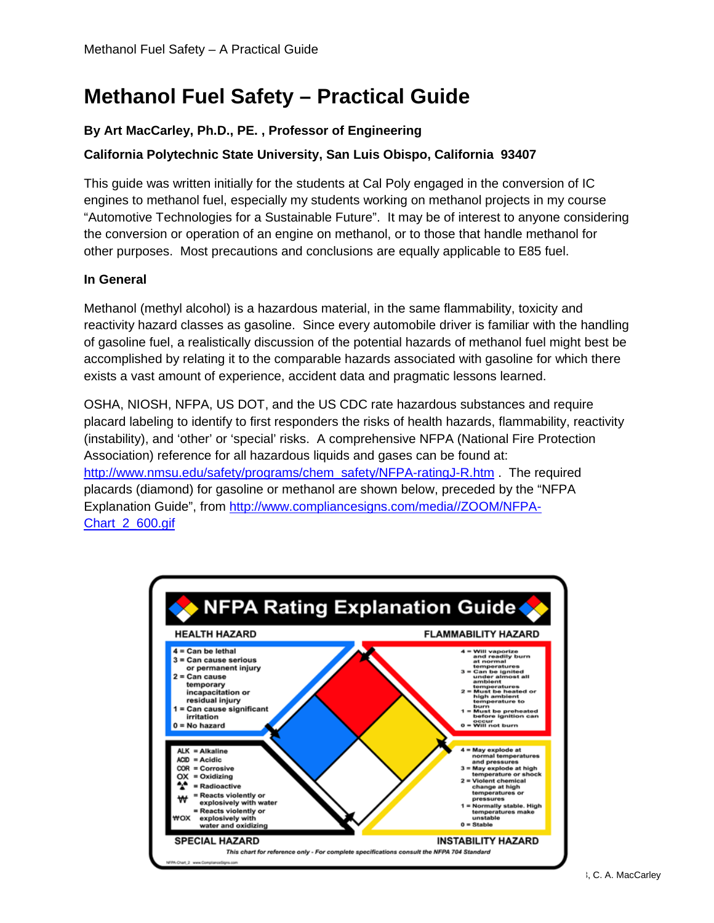# **Methanol Fuel Safety – Practical Guide**

# **By Art MacCarley, Ph.D., PE. , Professor of Engineering**

# **California Polytechnic State University, San Luis Obispo, California 93407**

This guide was written initially for the students at Cal Poly engaged in the conversion of IC engines to methanol fuel, especially my students working on methanol projects in my course "Automotive Technologies for a Sustainable Future". It may be of interest to anyone considering the conversion or operation of an engine on methanol, or to those that handle methanol for other purposes. Most precautions and conclusions are equally applicable to E85 fuel.

### **In General**

Methanol (methyl alcohol) is a hazardous material, in the same flammability, toxicity and reactivity hazard classes as gasoline. Since every automobile driver is familiar with the handling of gasoline fuel, a realistically discussion of the potential hazards of methanol fuel might best be accomplished by relating it to the comparable hazards associated with gasoline for which there exists a vast amount of experience, accident data and pragmatic lessons learned.

OSHA, NIOSH, NFPA, US DOT, and the US CDC rate hazardous substances and require placard labeling to identify to first responders the risks of health hazards, flammability, reactivity (instability), and 'other' or 'special' risks. A comprehensive NFPA (National Fire Protection Association) reference for all hazardous liquids and gases can be found at: [http://www.nmsu.edu/safety/programs/chem\\_safety/NFPA-ratingJ-R.htm](http://www.nmsu.edu/safety/programs/chem_safety/NFPA-ratingJ-R.htm) . The required placards (diamond) for gasoline or methanol are shown below, preceded by the "NFPA Explanation Guide", from [http://www.compliancesigns.com/media//ZOOM/NFPA-](http://www.compliancesigns.com/media/ZOOM/NFPA-Chart_2_600.gif)[Chart\\_2\\_600.gif](http://www.compliancesigns.com/media/ZOOM/NFPA-Chart_2_600.gif)

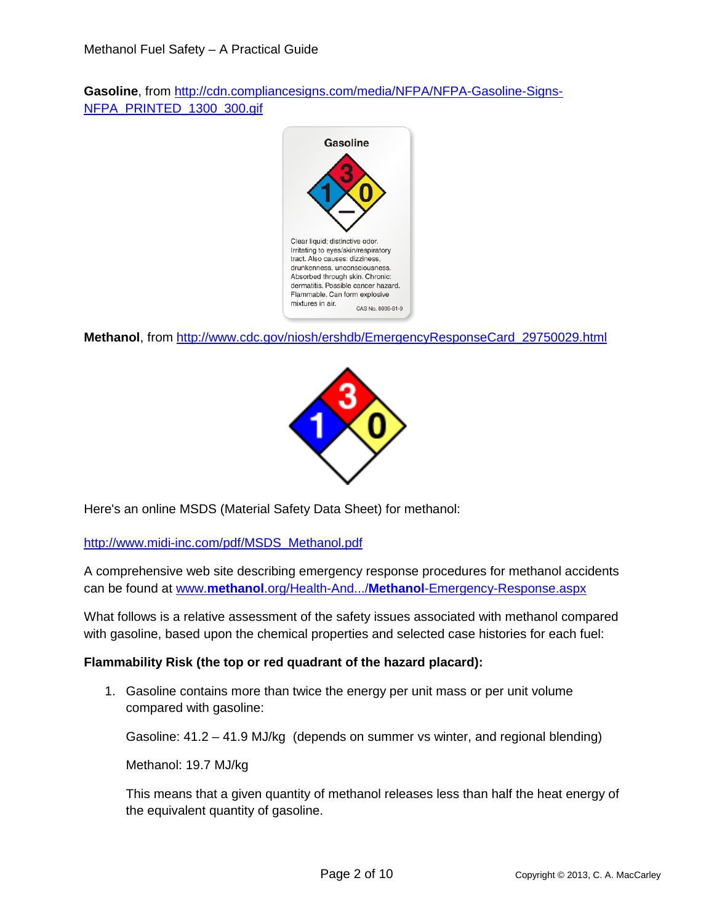**Gasoline**, from [http://cdn.compliancesigns.com/media/NFPA/NFPA-Gasoline-Signs-](http://cdn.compliancesigns.com/media/NFPA/NFPA-Gasoline-Signs-NFPA_PRINTED_1300_300.gif)[NFPA\\_PRINTED\\_1300\\_300.gif](http://cdn.compliancesigns.com/media/NFPA/NFPA-Gasoline-Signs-NFPA_PRINTED_1300_300.gif)



**Methanol**, from [http://www.cdc.gov/niosh/ershdb/EmergencyResponseCard\\_29750029.html](http://www.cdc.gov/niosh/ershdb/EmergencyResponseCard_29750029.html)



Here's an online MSDS (Material Safety Data Sheet) for methanol:

[http://www.midi-inc.com/pdf/MSDS\\_Methanol.pdf](http://www.midi-inc.com/pdf/MSDS_Methanol.pdf)

A comprehensive web site describing emergency response procedures for methanol accidents can be found at www.**methanol**.org/Health-And.../**Methanol**[-Emergency-Response.aspx](http://www.methanol.org/Health-And.../Methanol-Emergency-Response.aspx)

What follows is a relative assessment of the safety issues associated with methanol compared with gasoline, based upon the chemical properties and selected case histories for each fuel:

#### **Flammability Risk (the top or red quadrant of the hazard placard):**

1. Gasoline contains more than twice the energy per unit mass or per unit volume compared with gasoline:

Gasoline: 41.2 – 41.9 MJ/kg (depends on summer vs winter, and regional blending)

Methanol: 19.7 MJ/kg

This means that a given quantity of methanol releases less than half the heat energy of the equivalent quantity of gasoline.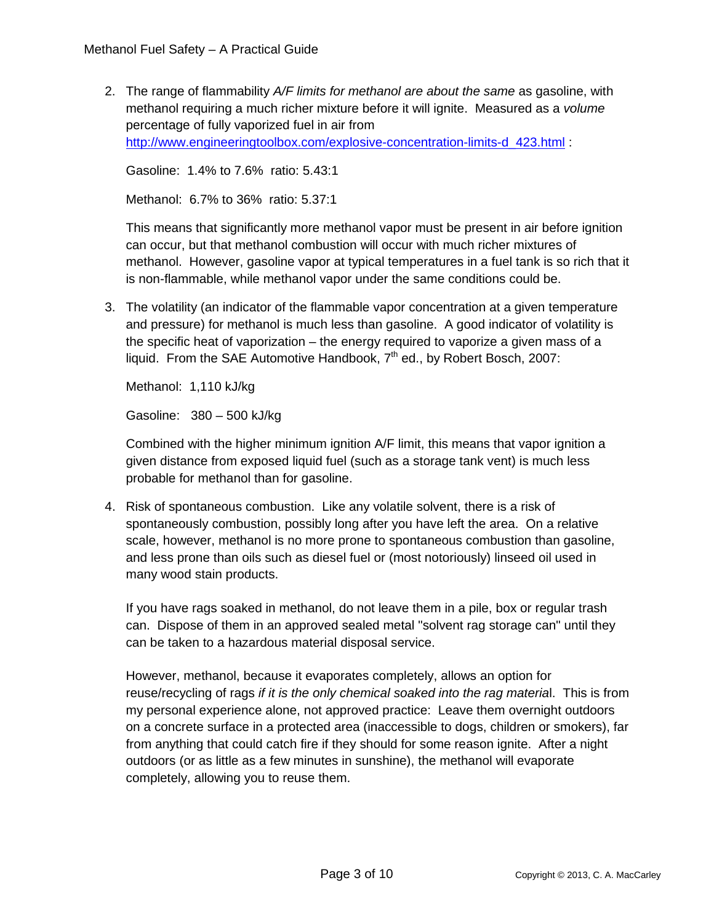2. The range of flammability *A/F limits for methanol are about the same* as gasoline, with methanol requiring a much richer mixture before it will ignite. Measured as a *volume* percentage of fully vaporized fuel in air from [http://www.engineeringtoolbox.com/explosive-concentration-limits-d\\_423.html](http://www.engineeringtoolbox.com/explosive-concentration-limits-d_423.html) :

Gasoline: 1.4% to 7.6% ratio: 5.43:1

Methanol: 6.7% to 36% ratio: 5.37:1

This means that significantly more methanol vapor must be present in air before ignition can occur, but that methanol combustion will occur with much richer mixtures of methanol. However, gasoline vapor at typical temperatures in a fuel tank is so rich that it is non-flammable, while methanol vapor under the same conditions could be.

3. The volatility (an indicator of the flammable vapor concentration at a given temperature and pressure) for methanol is much less than gasoline. A good indicator of volatility is the specific heat of vaporization – the energy required to vaporize a given mass of a liquid. From the SAE Automotive Handbook, 7<sup>th</sup> ed., by Robert Bosch, 2007:

Methanol: 1,110 kJ/kg

Gasoline: 380 – 500 kJ/kg

Combined with the higher minimum ignition A/F limit, this means that vapor ignition a given distance from exposed liquid fuel (such as a storage tank vent) is much less probable for methanol than for gasoline.

4. Risk of spontaneous combustion. Like any volatile solvent, there is a risk of spontaneously combustion, possibly long after you have left the area. On a relative scale, however, methanol is no more prone to spontaneous combustion than gasoline, and less prone than oils such as diesel fuel or (most notoriously) linseed oil used in many wood stain products.

If you have rags soaked in methanol, do not leave them in a pile, box or regular trash can. Dispose of them in an approved sealed metal "solvent rag storage can" until they can be taken to a hazardous material disposal service.

However, methanol, because it evaporates completely, allows an option for reuse/recycling of rags *if it is the only chemical soaked into the rag materia*l. This is from my personal experience alone, not approved practice: Leave them overnight outdoors on a concrete surface in a protected area (inaccessible to dogs, children or smokers), far from anything that could catch fire if they should for some reason ignite. After a night outdoors (or as little as a few minutes in sunshine), the methanol will evaporate completely, allowing you to reuse them.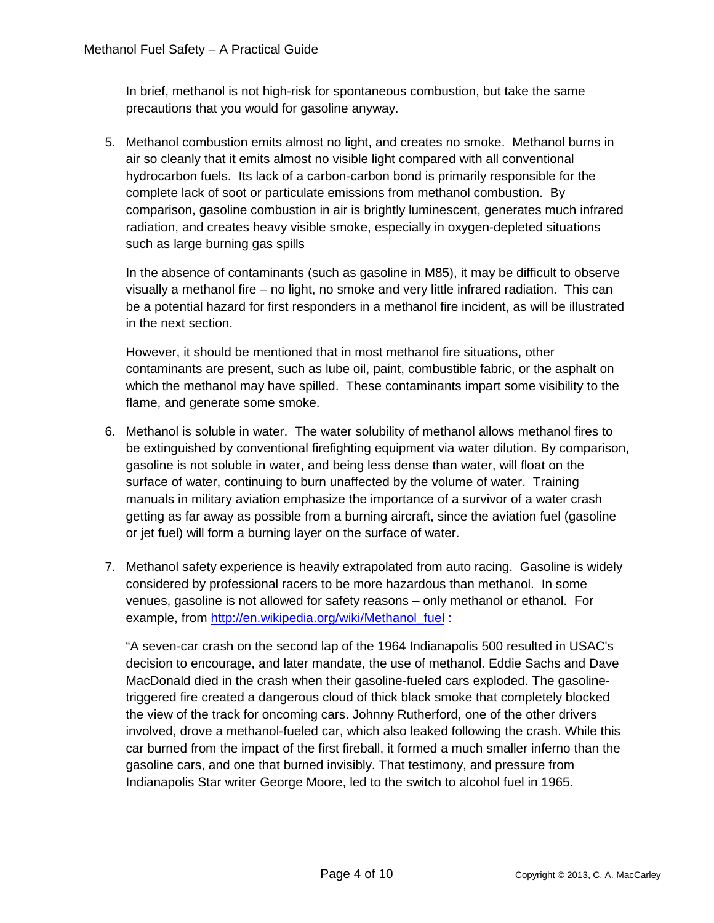In brief, methanol is not high-risk for spontaneous combustion, but take the same precautions that you would for gasoline anyway.

5. Methanol combustion emits almost no light, and creates no smoke. Methanol burns in air so cleanly that it emits almost no visible light compared with all conventional hydrocarbon fuels. Its lack of a carbon-carbon bond is primarily responsible for the complete lack of soot or particulate emissions from methanol combustion. By comparison, gasoline combustion in air is brightly luminescent, generates much infrared radiation, and creates heavy visible smoke, especially in oxygen-depleted situations such as large burning gas spills

In the absence of contaminants (such as gasoline in M85), it may be difficult to observe visually a methanol fire – no light, no smoke and very little infrared radiation. This can be a potential hazard for first responders in a methanol fire incident, as will be illustrated in the next section.

However, it should be mentioned that in most methanol fire situations, other contaminants are present, such as lube oil, paint, combustible fabric, or the asphalt on which the methanol may have spilled. These contaminants impart some visibility to the flame, and generate some smoke.

- 6. Methanol is soluble in water. The water solubility of methanol allows methanol fires to be extinguished by conventional firefighting equipment via water dilution. By comparison, gasoline is not soluble in water, and being less dense than water, will float on the surface of water, continuing to burn unaffected by the volume of water. Training manuals in military aviation emphasize the importance of a survivor of a water crash getting as far away as possible from a burning aircraft, since the aviation fuel (gasoline or jet fuel) will form a burning layer on the surface of water.
- 7. Methanol safety experience is heavily extrapolated from auto racing. Gasoline is widely considered by professional racers to be more hazardous than methanol. In some venues, gasoline is not allowed for safety reasons – only methanol or ethanol. For example, from [http://en.wikipedia.org/wiki/Methanol\\_fuel](http://en.wikipedia.org/wiki/Methanol_fuel) :

"A seven-car crash on the second lap of the 1964 Indianapolis 500 resulted in USAC's decision to encourage, and later mandate, the use of methanol. Eddie Sachs and Dave MacDonald died in the crash when their gasoline-fueled cars exploded. The gasolinetriggered fire created a dangerous cloud of thick black smoke that completely blocked the view of the track for oncoming cars. Johnny Rutherford, one of the other drivers involved, drove a methanol-fueled car, which also leaked following the crash. While this car burned from the impact of the first fireball, it formed a much smaller inferno than the gasoline cars, and one that burned invisibly. That testimony, and pressure from Indianapolis Star writer George Moore, led to the switch to alcohol fuel in 1965.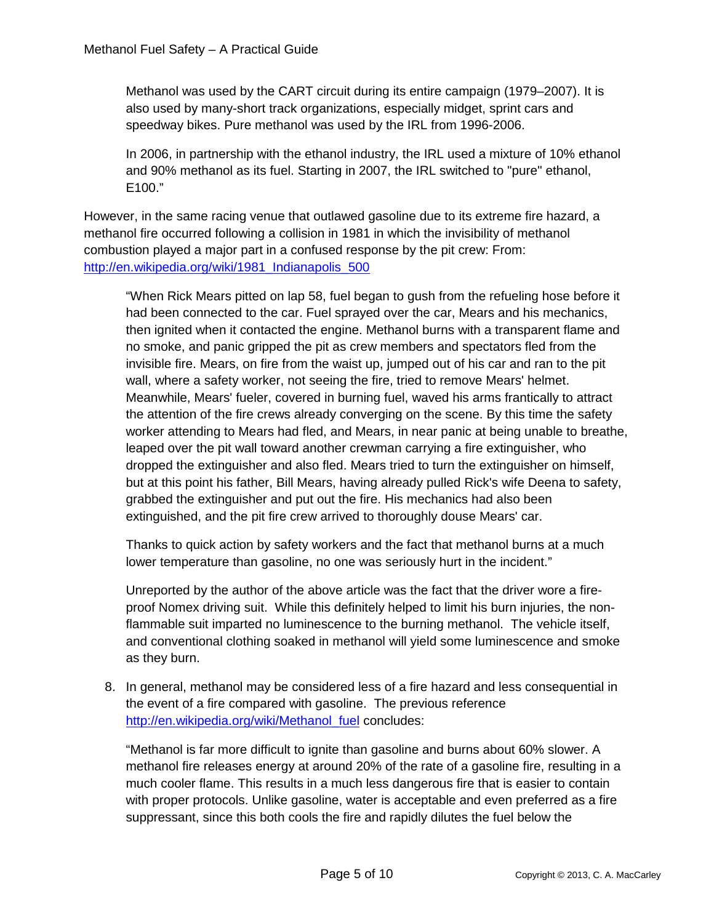Methanol was used by the CART circuit during its entire campaign (1979–2007). It is also used by many-short track organizations, especially midget, sprint cars and speedway bikes. Pure methanol was used by the IRL from 1996-2006.

In 2006, in partnership with the ethanol industry, the IRL used a mixture of 10% ethanol and 90% methanol as its fuel. Starting in 2007, the IRL switched to "pure" ethanol, E100."

However, in the same racing venue that outlawed gasoline due to its extreme fire hazard, a methanol fire occurred following a collision in 1981 in which the invisibility of methanol combustion played a major part in a confused response by the pit crew: From: [http://en.wikipedia.org/wiki/1981\\_Indianapolis\\_500](http://en.wikipedia.org/wiki/1981_Indianapolis_500)

"When Rick Mears pitted on lap 58, fuel began to gush from the refueling hose before it had been connected to the car. Fuel sprayed over the car, Mears and his mechanics, then ignited when it contacted the engine. Methanol burns with a transparent flame and no smoke, and panic gripped the pit as crew members and spectators fled from the invisible fire. Mears, on fire from the waist up, jumped out of his car and ran to the pit wall, where a safety worker, not seeing the fire, tried to remove Mears' helmet. Meanwhile, Mears' fueler, covered in burning fuel, waved his arms frantically to attract the attention of the fire crews already converging on the scene. By this time the safety worker attending to Mears had fled, and Mears, in near panic at being unable to breathe, leaped over the pit wall toward another crewman carrying a fire extinguisher, who dropped the extinguisher and also fled. Mears tried to turn the extinguisher on himself, but at this point his father, Bill Mears, having already pulled Rick's wife Deena to safety, grabbed the extinguisher and put out the fire. His mechanics had also been extinguished, and the pit fire crew arrived to thoroughly douse Mears' car.

Thanks to quick action by safety workers and the fact that methanol burns at a much lower temperature than gasoline, no one was seriously hurt in the incident."

Unreported by the author of the above article was the fact that the driver wore a fireproof Nomex driving suit. While this definitely helped to limit his burn injuries, the nonflammable suit imparted no luminescence to the burning methanol. The vehicle itself, and conventional clothing soaked in methanol will yield some luminescence and smoke as they burn.

8. In general, methanol may be considered less of a fire hazard and less consequential in the event of a fire compared with gasoline. The previous reference [http://en.wikipedia.org/wiki/Methanol\\_fuel](http://en.wikipedia.org/wiki/Methanol_fuel) concludes:

"Methanol is far more difficult to ignite than gasoline and burns about 60% slower. A methanol fire releases energy at around 20% of the rate of a gasoline fire, resulting in a much cooler flame. This results in a much less dangerous fire that is easier to contain with proper protocols. Unlike gasoline, water is acceptable and even preferred as a fire suppressant, since this both cools the fire and rapidly dilutes the fuel below the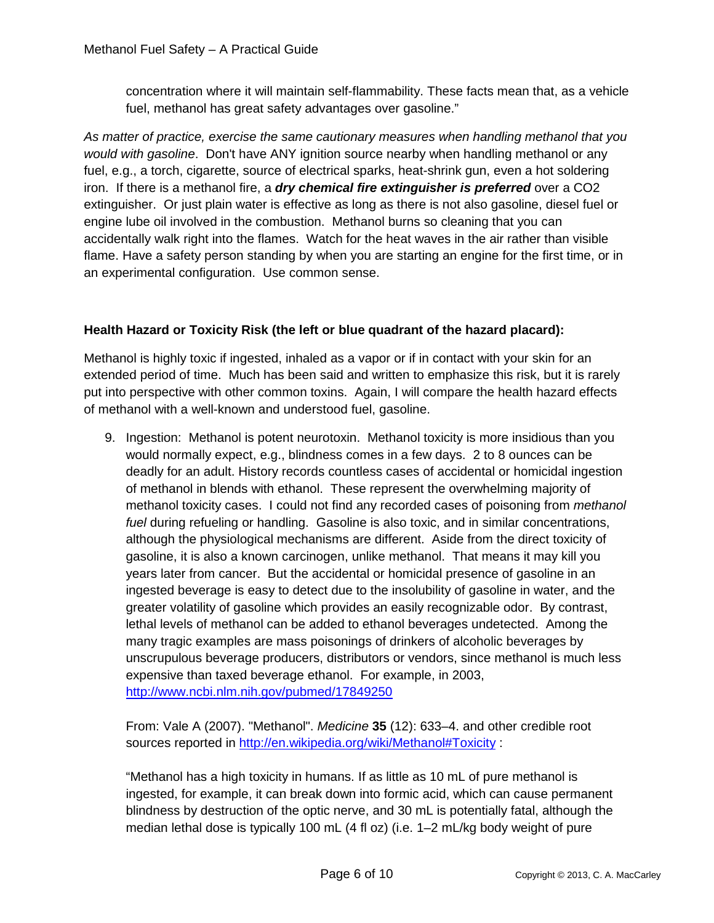concentration where it will maintain self-flammability. These facts mean that, as a vehicle fuel, methanol has great safety advantages over gasoline."

*As matter of practice, exercise the same cautionary measures when handling methanol that you would with gasoline*. Don't have ANY ignition source nearby when handling methanol or any fuel, e.g., a torch, cigarette, source of electrical sparks, heat-shrink gun, even a hot soldering iron. If there is a methanol fire, a *dry chemical fire extinguisher is preferred* over a CO2 extinguisher. Or just plain water is effective as long as there is not also gasoline, diesel fuel or engine lube oil involved in the combustion. Methanol burns so cleaning that you can accidentally walk right into the flames. Watch for the heat waves in the air rather than visible flame. Have a safety person standing by when you are starting an engine for the first time, or in an experimental configuration. Use common sense.

### **Health Hazard or Toxicity Risk (the left or blue quadrant of the hazard placard):**

Methanol is highly toxic if ingested, inhaled as a vapor or if in contact with your skin for an extended period of time. Much has been said and written to emphasize this risk, but it is rarely put into perspective with other common toxins. Again, I will compare the health hazard effects of methanol with a well-known and understood fuel, gasoline.

9. Ingestion: Methanol is potent neurotoxin. Methanol toxicity is more insidious than you would normally expect, e.g., blindness comes in a few days. 2 to 8 ounces can be deadly for an adult. History records countless cases of accidental or homicidal ingestion of methanol in blends with ethanol. These represent the overwhelming majority of methanol toxicity cases. I could not find any recorded cases of poisoning from *methanol fuel* during refueling or handling. Gasoline is also toxic, and in similar concentrations, although the physiological mechanisms are different. Aside from the direct toxicity of gasoline, it is also a known carcinogen, unlike methanol. That means it may kill you years later from cancer. But the accidental or homicidal presence of gasoline in an ingested beverage is easy to detect due to the insolubility of gasoline in water, and the greater volatility of gasoline which provides an easily recognizable odor. By contrast, lethal levels of methanol can be added to ethanol beverages undetected. Among the many tragic examples are mass poisonings of drinkers of alcoholic beverages by unscrupulous beverage producers, distributors or vendors, since methanol is much less expensive than taxed beverage ethanol. For example, in 2003, <http://www.ncbi.nlm.nih.gov/pubmed/17849250>

From: Vale A (2007). "Methanol". *Medicine* **35** (12): 633–4. and other credible root sources reported in<http://en.wikipedia.org/wiki/Methanol#Toxicity> :

"Methanol has a high toxicity in humans. If as little as 10 mL of pure methanol is ingested, for example, it can break down into formic acid, which can cause permanent blindness by destruction of the optic nerve, and 30 mL is potentially fatal, although the median lethal dose is typically 100 mL (4 fl oz) (i.e. 1–2 mL/kg body weight of pure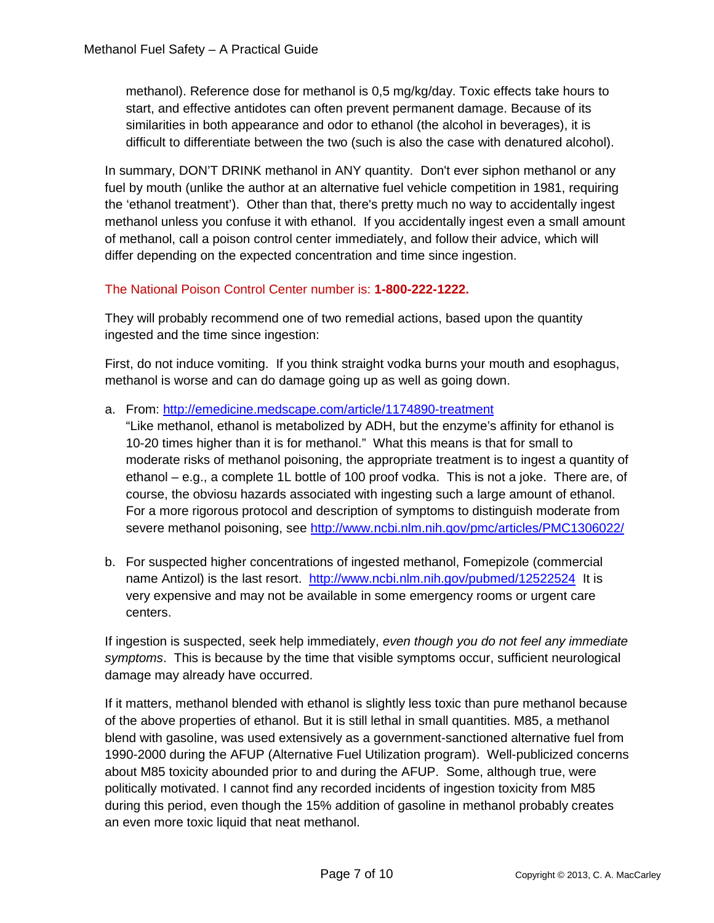methanol). Reference dose for methanol is 0,5 mg/kg/day. Toxic effects take hours to start, and effective antidotes can often prevent permanent damage. Because of its similarities in both appearance and odor to ethanol (the alcohol in beverages), it is difficult to differentiate between the two (such is also the case with denatured alcohol).

In summary, DON'T DRINK methanol in ANY quantity. Don't ever siphon methanol or any fuel by mouth (unlike the author at an alternative fuel vehicle competition in 1981, requiring the 'ethanol treatment'). Other than that, there's pretty much no way to accidentally ingest methanol unless you confuse it with ethanol. If you accidentally ingest even a small amount of methanol, call a poison control center immediately, and follow their advice, which will differ depending on the expected concentration and time since ingestion.

# The National Poison Control Center number is: **1-800-222-1222.**

They will probably recommend one of two remedial actions, based upon the quantity ingested and the time since ingestion:

First, do not induce vomiting. If you think straight vodka burns your mouth and esophagus, methanol is worse and can do damage going up as well as going down.

a. From:<http://emedicine.medscape.com/article/1174890-treatment>

"Like methanol, ethanol is metabolized by ADH, but the enzyme's affinity for ethanol is 10-20 times higher than it is for methanol." What this means is that for small to moderate risks of methanol poisoning, the appropriate treatment is to ingest a quantity of ethanol – e.g., a complete 1L bottle of 100 proof vodka. This is not a joke. There are, of course, the obviosu hazards associated with ingesting such a large amount of ethanol. For a more rigorous protocol and description of symptoms to distinguish moderate from severe methanol poisoning, see<http://www.ncbi.nlm.nih.gov/pmc/articles/PMC1306022/>

b. For suspected higher concentrations of ingested methanol, Fomepizole (commercial name Antizol) is the last resort. <http://www.ncbi.nlm.nih.gov/pubmed/12522524>It is very expensive and may not be available in some emergency rooms or urgent care centers.

If ingestion is suspected, seek help immediately, *even though you do not feel any immediate symptoms*. This is because by the time that visible symptoms occur, sufficient neurological damage may already have occurred.

If it matters, methanol blended with ethanol is slightly less toxic than pure methanol because of the above properties of ethanol. But it is still lethal in small quantities. M85, a methanol blend with gasoline, was used extensively as a government-sanctioned alternative fuel from 1990-2000 during the AFUP (Alternative Fuel Utilization program). Well-publicized concerns about M85 toxicity abounded prior to and during the AFUP. Some, although true, were politically motivated. I cannot find any recorded incidents of ingestion toxicity from M85 during this period, even though the 15% addition of gasoline in methanol probably creates an even more toxic liquid that neat methanol.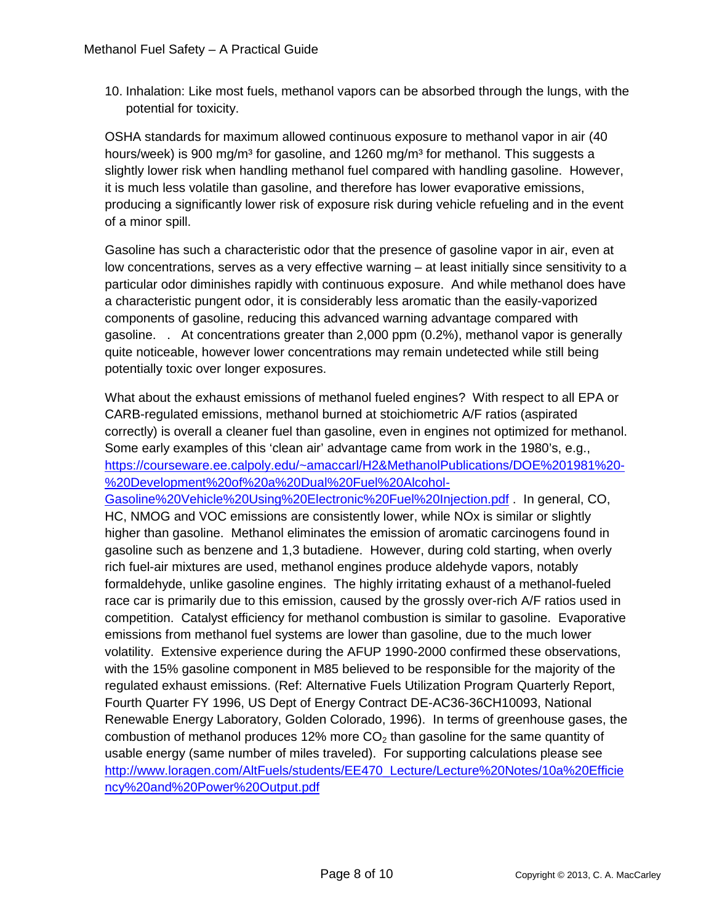10. Inhalation: Like most fuels, methanol vapors can be absorbed through the lungs, with the potential for toxicity.

OSHA standards for maximum allowed continuous exposure to methanol vapor in air (40 hours/week) is 900 mg/m<sup>3</sup> for gasoline, and 1260 mg/m<sup>3</sup> for methanol. This suggests a slightly lower risk when handling methanol fuel compared with handling gasoline. However, it is much less volatile than gasoline, and therefore has lower evaporative emissions, producing a significantly lower risk of exposure risk during vehicle refueling and in the event of a minor spill.

Gasoline has such a characteristic odor that the presence of gasoline vapor in air, even at low concentrations, serves as a very effective warning – at least initially since sensitivity to a particular odor diminishes rapidly with continuous exposure. And while methanol does have a characteristic pungent odor, it is considerably less aromatic than the easily-vaporized components of gasoline, reducing this advanced warning advantage compared with gasoline. . At concentrations greater than 2,000 ppm (0.2%), methanol vapor is generally quite noticeable, however lower concentrations may remain undetected while still being potentially toxic over longer exposures.

What about the exhaust emissions of methanol fueled engines? With respect to all EPA or CARB-regulated emissions, methanol burned at stoichiometric A/F ratios (aspirated correctly) is overall a cleaner fuel than gasoline, even in engines not optimized for methanol. Some early examples of this 'clean air' advantage came from work in the 1980's, e.g., [https://courseware.ee.calpoly.edu/~amaccarl/H2&MethanolPublications/DOE%201981%20-](https://courseware.ee.calpoly.edu/~amaccarl/H2&MethanolPublications/DOE%201981%20-%20Development%20of%20a%20Dual%20Fuel%20Alcohol-Gasoline%20Vehicle%20Using%20Electronic%20Fuel%20Injection.pdf) [%20Development%20of%20a%20Dual%20Fuel%20Alcohol-](https://courseware.ee.calpoly.edu/~amaccarl/H2&MethanolPublications/DOE%201981%20-%20Development%20of%20a%20Dual%20Fuel%20Alcohol-Gasoline%20Vehicle%20Using%20Electronic%20Fuel%20Injection.pdf)

[Gasoline%20Vehicle%20Using%20Electronic%20Fuel%20Injection.pdf](https://courseware.ee.calpoly.edu/~amaccarl/H2&MethanolPublications/DOE%201981%20-%20Development%20of%20a%20Dual%20Fuel%20Alcohol-Gasoline%20Vehicle%20Using%20Electronic%20Fuel%20Injection.pdf) . In general, CO, HC, NMOG and VOC emissions are consistently lower, while NOx is similar or slightly higher than gasoline. Methanol eliminates the emission of aromatic carcinogens found in gasoline such as benzene and 1,3 butadiene. However, during cold starting, when overly rich fuel-air mixtures are used, methanol engines produce aldehyde vapors, notably formaldehyde, unlike gasoline engines. The highly irritating exhaust of a methanol-fueled race car is primarily due to this emission, caused by the grossly over-rich A/F ratios used in competition. Catalyst efficiency for methanol combustion is similar to gasoline. Evaporative emissions from methanol fuel systems are lower than gasoline, due to the much lower volatility. Extensive experience during the AFUP 1990-2000 confirmed these observations, with the 15% gasoline component in M85 believed to be responsible for the majority of the regulated exhaust emissions. (Ref: Alternative Fuels Utilization Program Quarterly Report, Fourth Quarter FY 1996, US Dept of Energy Contract DE-AC36-36CH10093, National Renewable Energy Laboratory, Golden Colorado, 1996). In terms of greenhouse gases, the combustion of methanol produces 12% more  $CO<sub>2</sub>$  than gasoline for the same quantity of usable energy (same number of miles traveled). For supporting calculations please see [http://www.loragen.com/AltFuels/students/EE470\\_Lecture/Lecture%20Notes/10a%20Efficie](http://www.loragen.com/AltFuels/students/EE470_Lecture/Lecture%20Notes/10a%20Efficiency%20and%20Power%20Output.pdf) [ncy%20and%20Power%20Output.pdf](http://www.loragen.com/AltFuels/students/EE470_Lecture/Lecture%20Notes/10a%20Efficiency%20and%20Power%20Output.pdf)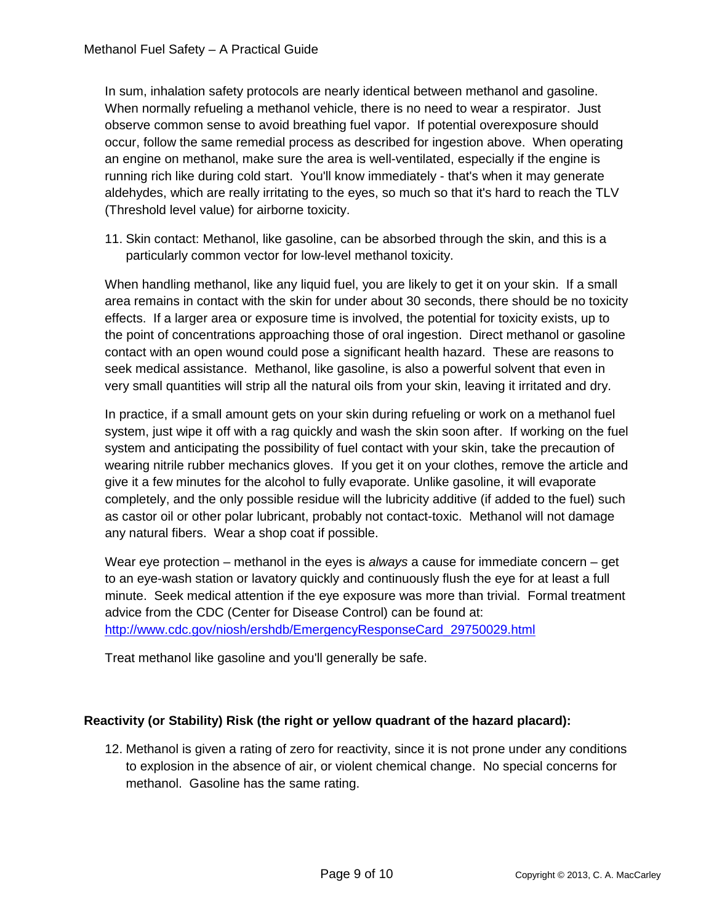In sum, inhalation safety protocols are nearly identical between methanol and gasoline. When normally refueling a methanol vehicle, there is no need to wear a respirator. Just observe common sense to avoid breathing fuel vapor. If potential overexposure should occur, follow the same remedial process as described for ingestion above. When operating an engine on methanol, make sure the area is well-ventilated, especially if the engine is running rich like during cold start. You'll know immediately - that's when it may generate aldehydes, which are really irritating to the eyes, so much so that it's hard to reach the TLV (Threshold level value) for airborne toxicity.

11. Skin contact: Methanol, like gasoline, can be absorbed through the skin, and this is a particularly common vector for low-level methanol toxicity.

When handling methanol, like any liquid fuel, you are likely to get it on your skin. If a small area remains in contact with the skin for under about 30 seconds, there should be no toxicity effects. If a larger area or exposure time is involved, the potential for toxicity exists, up to the point of concentrations approaching those of oral ingestion. Direct methanol or gasoline contact with an open wound could pose a significant health hazard. These are reasons to seek medical assistance. Methanol, like gasoline, is also a powerful solvent that even in very small quantities will strip all the natural oils from your skin, leaving it irritated and dry.

In practice, if a small amount gets on your skin during refueling or work on a methanol fuel system, just wipe it off with a rag quickly and wash the skin soon after. If working on the fuel system and anticipating the possibility of fuel contact with your skin, take the precaution of wearing nitrile rubber mechanics gloves. If you get it on your clothes, remove the article and give it a few minutes for the alcohol to fully evaporate. Unlike gasoline, it will evaporate completely, and the only possible residue will the lubricity additive (if added to the fuel) such as castor oil or other polar lubricant, probably not contact-toxic. Methanol will not damage any natural fibers. Wear a shop coat if possible.

Wear eye protection – methanol in the eyes is *always* a cause for immediate concern – get to an eye-wash station or lavatory quickly and continuously flush the eye for at least a full minute. Seek medical attention if the eye exposure was more than trivial. Formal treatment advice from the CDC (Center for Disease Control) can be found at: [http://www.cdc.gov/niosh/ershdb/EmergencyResponseCard\\_29750029.html](http://www.cdc.gov/niosh/ershdb/EmergencyResponseCard_29750029.html)

Treat methanol like gasoline and you'll generally be safe.

#### **Reactivity (or Stability) Risk (the right or yellow quadrant of the hazard placard):**

12. Methanol is given a rating of zero for reactivity, since it is not prone under any conditions to explosion in the absence of air, or violent chemical change. No special concerns for methanol. Gasoline has the same rating.